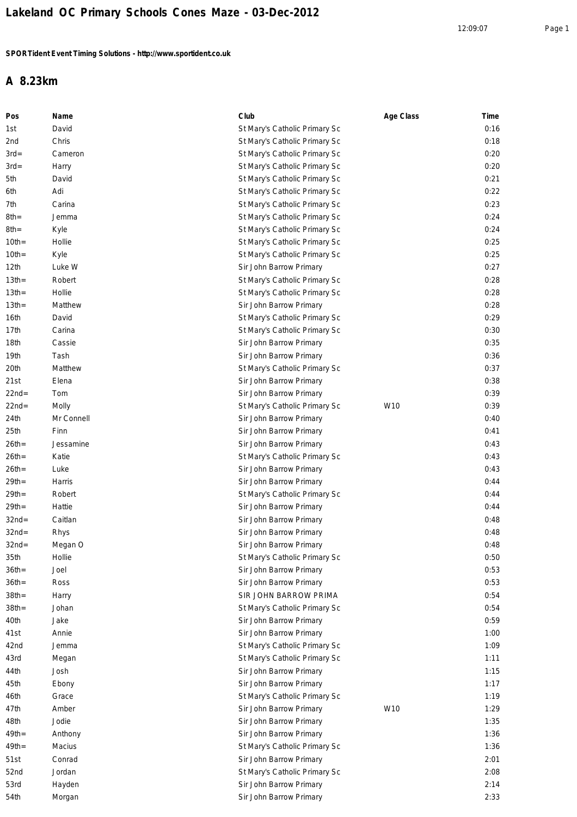## **A 8.23km**

| Pos              | Name       | Club                          | Age Class       | Time |
|------------------|------------|-------------------------------|-----------------|------|
| 1st              | David      | St Mary's Catholic Primary Sc |                 | 0:16 |
| 2nd              | Chris      | St Mary's Catholic Primary Sc |                 | 0:18 |
| $3rd=$           | Cameron    | St Mary's Catholic Primary Sc |                 | 0:20 |
| $3rd=$           | Harry      | St Mary's Catholic Primary Sc |                 | 0:20 |
| 5th              | David      | St Mary's Catholic Primary Sc |                 | 0:21 |
| 6th              | Adi        | St Mary's Catholic Primary Sc |                 | 0:22 |
| 7th              | Carina     | St Mary's Catholic Primary Sc |                 | 0:23 |
| 8th=             | Jemma      | St Mary's Catholic Primary Sc |                 | 0:24 |
| 8th=             | Kyle       | St Mary's Catholic Primary Sc |                 | 0:24 |
| $10th =$         | Hollie     | St Mary's Catholic Primary Sc |                 | 0:25 |
| $10th =$         | Kyle       | St Mary's Catholic Primary Sc |                 | 0:25 |
| 12 <sub>th</sub> | Luke W     | Sir John Barrow Primary       |                 | 0:27 |
| $13th =$         | Robert     | St Mary's Catholic Primary Sc |                 | 0:28 |
| $13th =$         | Hollie     | St Mary's Catholic Primary Sc |                 | 0:28 |
| $13th =$         | Matthew    | Sir John Barrow Primary       |                 | 0:28 |
| 16th             | David      | St Mary's Catholic Primary Sc |                 | 0:29 |
| 17th             | Carina     | St Mary's Catholic Primary Sc |                 | 0:30 |
| 18th             | Cassie     | Sir John Barrow Primary       |                 | 0:35 |
| 19th             | Tash       | Sir John Barrow Primary       |                 | 0:36 |
| 20th             | Matthew    | St Mary's Catholic Primary Sc |                 | 0:37 |
| 21st             | Elena      | Sir John Barrow Primary       |                 | 0:38 |
| $22nd=$          | Tom        | Sir John Barrow Primary       |                 | 0:39 |
| $22nd=$          | Molly      | St Mary's Catholic Primary Sc | W <sub>10</sub> | 0:39 |
| 24th             | Mr Connell | Sir John Barrow Primary       |                 | 0:40 |
| 25th             | Finn       | Sir John Barrow Primary       |                 | 0:41 |
| $26th =$         | Jessamine  | Sir John Barrow Primary       |                 | 0:43 |
| $26th =$         | Katie      | St Mary's Catholic Primary Sc |                 | 0:43 |
| $26th =$         | Luke       | Sir John Barrow Primary       |                 | 0:43 |
| $29th =$         | Harris     | Sir John Barrow Primary       |                 | 0:44 |
| $29th =$         | Robert     | St Mary's Catholic Primary Sc |                 | 0:44 |
| $29th =$         | Hattie     | Sir John Barrow Primary       |                 | 0:44 |
| $32nd=$          | Caitlan    | Sir John Barrow Primary       |                 | 0:48 |
| $32nd=$          | Rhys       | Sir John Barrow Primary       |                 | 0:48 |
| $32nd=$          | Megan O    | Sir John Barrow Primary       |                 | 0:48 |
| 35th             | Hollie     | St Mary's Catholic Primary Sc |                 | 0:50 |
| $36th =$         | Joel       | Sir John Barrow Primary       |                 | 0:53 |
| $36th =$         | Ross       | Sir John Barrow Primary       |                 | 0:53 |
| $38th =$         | Harry      | SIR JOHN BARROW PRIMA         |                 | 0:54 |
| $38th =$         | Johan      | St Mary's Catholic Primary Sc |                 | 0:54 |
| 40th             | Jake       | Sir John Barrow Primary       |                 | 0:59 |
| 41st             | Annie      | Sir John Barrow Primary       |                 | 1:00 |
| 42nd             | Jemma      | St Mary's Catholic Primary Sc |                 | 1:09 |
| 43rd             | Megan      | St Mary's Catholic Primary Sc |                 | 1:11 |
| 44th             | Josh       | Sir John Barrow Primary       |                 | 1:15 |
| 45th             | Ebony      | Sir John Barrow Primary       |                 | 1:17 |
| 46th             | Grace      | St Mary's Catholic Primary Sc |                 | 1:19 |
| 47th             | Amber      | Sir John Barrow Primary       | W10             | 1:29 |
| 48th             | Jodie      | Sir John Barrow Primary       |                 | 1:35 |
| $49th =$         | Anthony    | Sir John Barrow Primary       |                 | 1:36 |
| $49th =$         | Macius     | St Mary's Catholic Primary Sc |                 | 1:36 |
| 51st             | Conrad     | Sir John Barrow Primary       |                 | 2:01 |
| 52nd             | Jordan     | St Mary's Catholic Primary Sc |                 | 2:08 |
| 53rd             | Hayden     | Sir John Barrow Primary       |                 | 2:14 |
| 54th             | Morgan     | Sir John Barrow Primary       |                 | 2:33 |
|                  |            |                               |                 |      |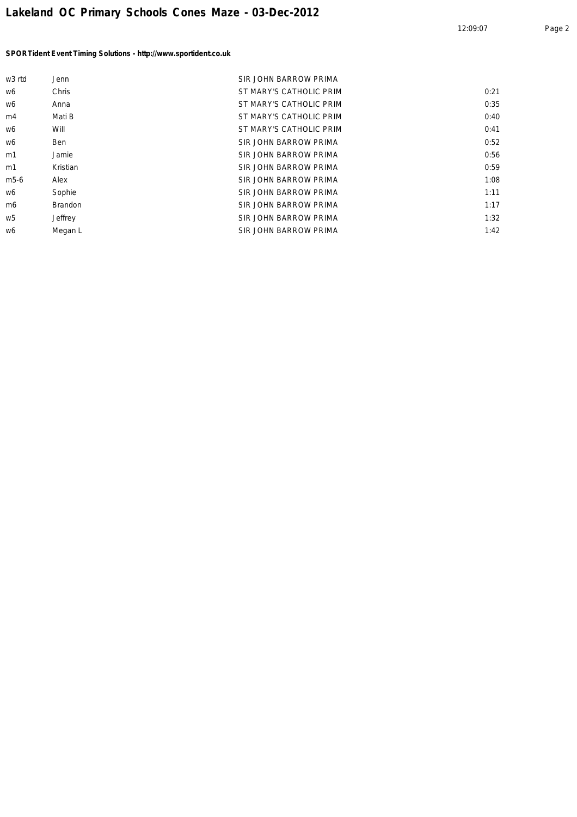| w <sub>3</sub> rtd | Jenn           | <b>SIR JOHN BARROW PRIMA</b> |      |
|--------------------|----------------|------------------------------|------|
| w6                 | Chris          | ST MARY'S CATHOLIC PRIM      | 0:21 |
| w6                 | Anna           | ST MARY'S CATHOLIC PRIM      | 0:35 |
| m4                 | Mati B         | ST MARY'S CATHOLIC PRIM      | 0:40 |
| w6                 | Will           | ST MARY'S CATHOLIC PRIM      | 0:41 |
| w6                 | <b>Ben</b>     | SIR JOHN BARROW PRIMA        | 0:52 |
| m1                 | Jamie          | SIR JOHN BARROW PRIMA        | 0:56 |
| m1                 | Kristian       | SIR JOHN BARROW PRIMA        | 0:59 |
| m <sub>5</sub> -6  | Alex           | SIR JOHN BARROW PRIMA        | 1:08 |
| w6                 | Sophie         | SIR JOHN BARROW PRIMA        | 1:11 |
| m <sub>6</sub>     | <b>Brandon</b> | <b>SIR JOHN BARROW PRIMA</b> | 1:17 |
| w5                 | Jeffrey        | <b>SIR JOHN BARROW PRIMA</b> | 1:32 |
| w6                 | Megan L        | <b>SIR JOHN BARROW PRIMA</b> | 1:42 |
|                    |                |                              |      |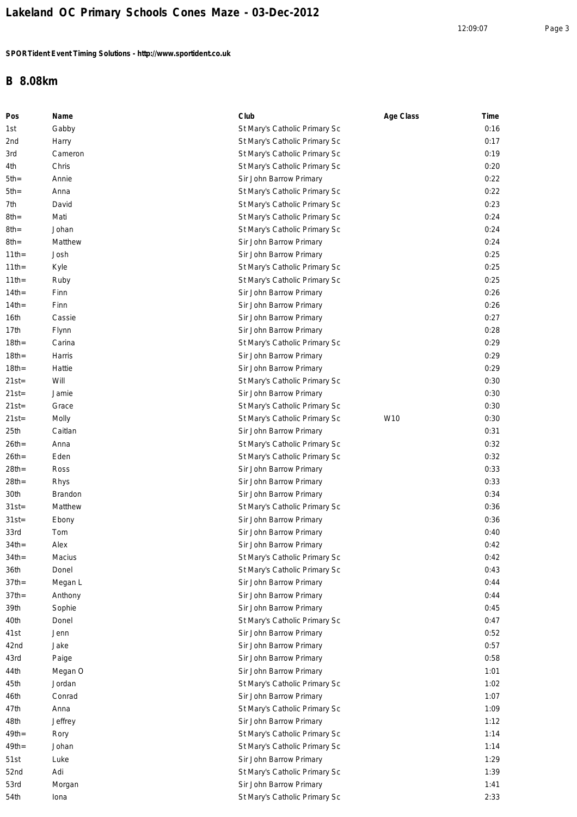## **B 8.08km**

| Pos      | Name    | Club                          | Age Class | Time |
|----------|---------|-------------------------------|-----------|------|
| 1st      | Gabby   | St Mary's Catholic Primary Sc |           | 0:16 |
| 2nd      | Harry   | St Mary's Catholic Primary Sc |           | 0:17 |
| 3rd      | Cameron | St Mary's Catholic Primary Sc |           | 0:19 |
| 4th      | Chris   | St Mary's Catholic Primary Sc |           | 0:20 |
| $5th =$  | Annie   | Sir John Barrow Primary       |           | 0:22 |
| $5th =$  | Anna    | St Mary's Catholic Primary Sc |           | 0:22 |
| 7th      | David   | St Mary's Catholic Primary Sc |           | 0:23 |
| 8th=     | Mati    | St Mary's Catholic Primary Sc |           | 0:24 |
| 8th=     | Johan   | St Mary's Catholic Primary Sc |           | 0:24 |
| 8th=     | Matthew | Sir John Barrow Primary       |           | 0:24 |
| $11$ th= | Josh    | Sir John Barrow Primary       |           | 0:25 |
| $11$ th= | Kyle    | St Mary's Catholic Primary Sc |           | 0:25 |
| $11$ th= | Ruby    | St Mary's Catholic Primary Sc |           | 0:25 |
| $14th =$ | Finn    | Sir John Barrow Primary       |           | 0:26 |
| $14$ th= | Finn    | Sir John Barrow Primary       |           | 0:26 |
| 16th     | Cassie  | Sir John Barrow Primary       |           | 0:27 |
| 17th     | Flynn   | Sir John Barrow Primary       |           | 0:28 |
| $18th =$ | Carina  | St Mary's Catholic Primary Sc |           | 0:29 |
| $18th =$ | Harris  | Sir John Barrow Primary       |           | 0:29 |
| $18th =$ | Hattie  | Sir John Barrow Primary       |           | 0:29 |
| $21st =$ | Will    | St Mary's Catholic Primary Sc |           | 0:30 |
| $21st =$ | Jamie   | Sir John Barrow Primary       |           | 0:30 |
| 21st=    | Grace   | St Mary's Catholic Primary Sc |           | 0:30 |
| 21st=    | Molly   | St Mary's Catholic Primary Sc | W10       | 0:30 |
| 25th     | Caitlan | Sir John Barrow Primary       |           | 0:31 |
| $26th =$ | Anna    | St Mary's Catholic Primary Sc |           | 0:32 |
| $26th =$ | Eden    | St Mary's Catholic Primary Sc |           | 0:32 |
| $28th =$ | Ross    | Sir John Barrow Primary       |           | 0:33 |
| $28th =$ | Rhys    | Sir John Barrow Primary       |           | 0:33 |
| 30th     | Brandon | Sir John Barrow Primary       |           | 0:34 |
| $31st =$ | Matthew | St Mary's Catholic Primary Sc |           | 0:36 |
| $31st =$ | Ebony   | Sir John Barrow Primary       |           | 0:36 |
| 33rd     | Tom     | Sir John Barrow Primary       |           | 0:40 |
| 34th=    | Alex    | Sir John Barrow Primary       |           | 0:42 |
| $34th =$ | Macius  | St Mary's Catholic Primary Sc |           | 0:42 |
| 36th     | Donel   | St Mary's Catholic Primary Sc |           | 0:43 |
| $37th =$ | Megan L | Sir John Barrow Primary       |           | 0:44 |
| $37th =$ | Anthony | Sir John Barrow Primary       |           | 0:44 |
| 39th     | Sophie  | Sir John Barrow Primary       |           | 0:45 |
| 40th     | Donel   | St Mary's Catholic Primary Sc |           | 0:47 |
| 41st     | Jenn    | Sir John Barrow Primary       |           | 0:52 |
| 42nd     | Jake    | Sir John Barrow Primary       |           | 0:57 |
| 43rd     | Paige   | Sir John Barrow Primary       |           | 0:58 |
| 44th     | Megan O | Sir John Barrow Primary       |           | 1:01 |
| 45th     | Jordan  | St Mary's Catholic Primary Sc |           | 1:02 |
| 46th     | Conrad  | Sir John Barrow Primary       |           | 1:07 |
| 47th     | Anna    | St Mary's Catholic Primary Sc |           | 1:09 |
| 48th     | Jeffrey | Sir John Barrow Primary       |           | 1:12 |
| $49th =$ | Rory    | St Mary's Catholic Primary Sc |           | 1:14 |
| $49th =$ | Johan   | St Mary's Catholic Primary Sc |           | 1:14 |
| 51st     | Luke    | Sir John Barrow Primary       |           | 1:29 |
| 52nd     | Adi     | St Mary's Catholic Primary Sc |           | 1:39 |
| 53rd     | Morgan  | Sir John Barrow Primary       |           | 1:41 |
| 54th     | Iona    | St Mary's Catholic Primary Sc |           | 2:33 |
|          |         |                               |           |      |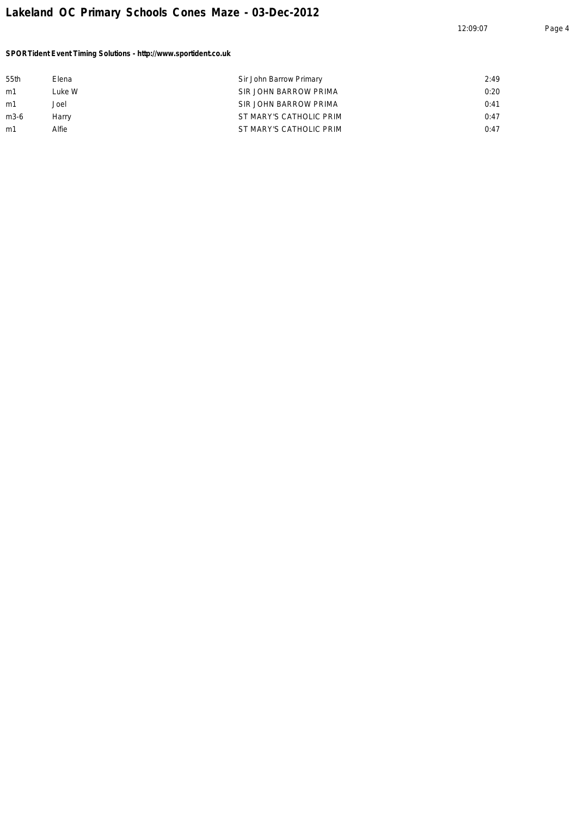12:09:07 Page 4

*SPORTident Event Timing Solutions - http://www.sportident.co.uk*

| 55th | Elena  | Sir John Barrow Primary | 2:49 |
|------|--------|-------------------------|------|
| m1   | Luke W | SIR JOHN BARROW PRIMA   | 0:20 |
| m1   | Joel   | SIR JOHN BARROW PRIMA   | 0:41 |
| m3-6 | Harry  | ST MARY'S CATHOLIC PRIM | 0:47 |
| m1   | Alfie  | ST MARY'S CATHOLIC PRIM | 0:47 |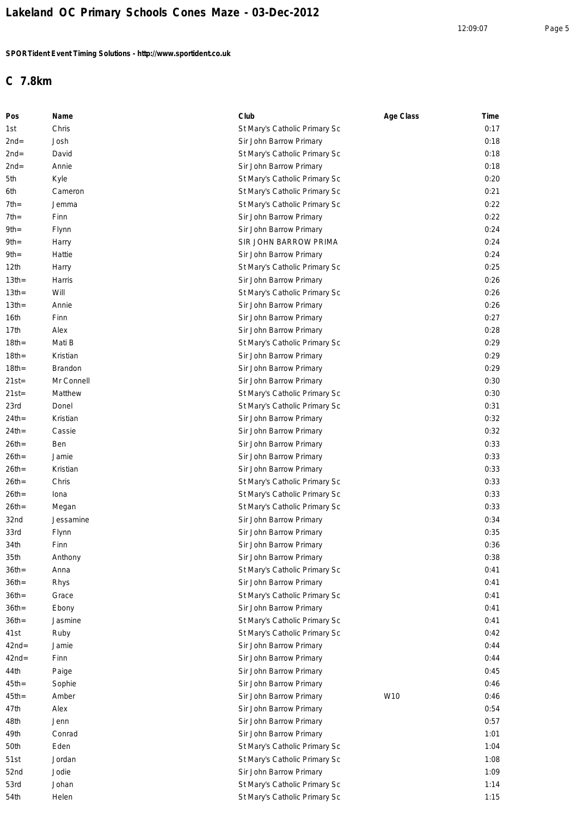# **C 7.8km**

| Pos              | Name       | Club                          | Age Class | Time |
|------------------|------------|-------------------------------|-----------|------|
| 1st              | Chris      | St Mary's Catholic Primary Sc |           | 0:17 |
| $2nd=$           | Josh       | Sir John Barrow Primary       |           | 0:18 |
| $2nd=$           | David      | St Mary's Catholic Primary Sc |           | 0:18 |
| $2nd=$           | Annie      | Sir John Barrow Primary       |           | 0:18 |
| 5th              | Kyle       | St Mary's Catholic Primary Sc |           | 0:20 |
| 6th              | Cameron    | St Mary's Catholic Primary Sc |           | 0:21 |
| $7th=$           | Jemma      | St Mary's Catholic Primary Sc |           | 0:22 |
| $7th =$          | Finn       | Sir John Barrow Primary       |           | 0:22 |
| $9th =$          | Flynn      | Sir John Barrow Primary       |           | 0:24 |
| $9th =$          | Harry      | SIR JOHN BARROW PRIMA         |           | 0:24 |
| $9th =$          | Hattie     | Sir John Barrow Primary       |           | 0:24 |
| 12 <sub>th</sub> | Harry      | St Mary's Catholic Primary Sc |           | 0:25 |
| 13 <sub>th</sub> | Harris     | Sir John Barrow Primary       |           | 0:26 |
| 13 <sub>th</sub> | Will       | St Mary's Catholic Primary Sc |           | 0:26 |
| $13th =$         | Annie      | Sir John Barrow Primary       |           | 0:26 |
| 16th             | Finn       | Sir John Barrow Primary       |           | 0:27 |
| 17th             | Alex       | Sir John Barrow Primary       |           | 0:28 |
| $18th =$         | Mati B     | St Mary's Catholic Primary Sc |           | 0:29 |
| $18th =$         | Kristian   | Sir John Barrow Primary       |           | 0:29 |
| $18th =$         | Brandon    | Sir John Barrow Primary       |           | 0:29 |
| $21st =$         | Mr Connell | Sir John Barrow Primary       |           | 0:30 |
| $21st =$         | Matthew    | St Mary's Catholic Primary Sc |           | 0:30 |
| 23rd             | Donel      | St Mary's Catholic Primary Sc |           | 0:31 |
| $24th =$         | Kristian   | Sir John Barrow Primary       |           | 0:32 |
| $24th =$         | Cassie     | Sir John Barrow Primary       |           | 0:32 |
| $26th =$         | Ben        | Sir John Barrow Primary       |           | 0:33 |
| $26th =$         | Jamie      | Sir John Barrow Primary       |           | 0:33 |
| $26th =$         | Kristian   | Sir John Barrow Primary       |           | 0:33 |
| $26th =$         | Chris      | St Mary's Catholic Primary Sc |           | 0:33 |
| $26th =$         | Iona       | St Mary's Catholic Primary Sc |           | 0:33 |
| $26th =$         | Megan      | St Mary's Catholic Primary Sc |           | 0:33 |
| 32nd             | Jessamine  | Sir John Barrow Primary       |           | 0:34 |
| 33rd             | Flynn      | Sir John Barrow Primary       |           | 0:35 |
| 34th             | Finn       | Sir John Barrow Primary       |           | 0:36 |
| 35th             | Anthony    | Sir John Barrow Primary       |           | 0:38 |
| $36th =$         | Anna       | St Mary's Catholic Primary Sc |           | 0:41 |
| $36th =$         | Rhys       | Sir John Barrow Primary       |           | 0:41 |
| $36th =$         | Grace      | St Mary's Catholic Primary Sc |           | 0:41 |
| $36th =$         | Ebony      | Sir John Barrow Primary       |           | 0:41 |
| $36th =$         | Jasmine    | St Mary's Catholic Primary Sc |           | 0:41 |
| 41st             | Ruby       | St Mary's Catholic Primary Sc |           | 0:42 |
| $42nd =$         | Jamie      | Sir John Barrow Primary       |           | 0:44 |
| $42nd =$         | Finn       | Sir John Barrow Primary       |           | 0:44 |
| 44th             | Paige      | Sir John Barrow Primary       |           | 0:45 |
| $45th =$         | Sophie     | Sir John Barrow Primary       |           | 0:46 |
| $45th =$         | Amber      | Sir John Barrow Primary       | W10       | 0:46 |
| 47th             | Alex       | Sir John Barrow Primary       |           | 0:54 |
| 48th             | Jenn       | Sir John Barrow Primary       |           | 0:57 |
| 49th             | Conrad     | Sir John Barrow Primary       |           | 1:01 |
| 50th             | Eden       | St Mary's Catholic Primary Sc |           | 1:04 |
| 51st             | Jordan     | St Mary's Catholic Primary Sc |           | 1:08 |
| 52nd             | Jodie      | Sir John Barrow Primary       |           | 1:09 |
| 53rd             | Johan      | St Mary's Catholic Primary Sc |           | 1:14 |
| 54th             | Helen      | St Mary's Catholic Primary Sc |           | 1:15 |
|                  |            |                               |           |      |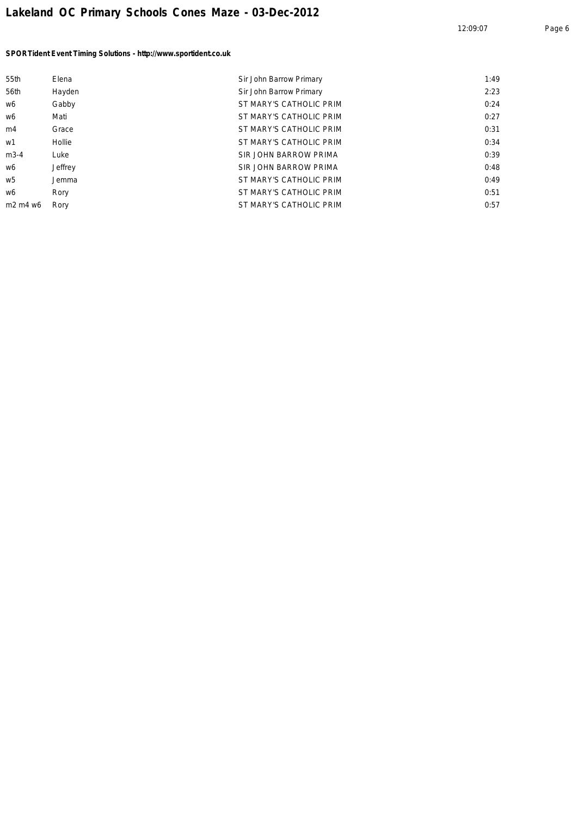| 55th                                         | Elena   | Sir John Barrow Primary | 1:49 |
|----------------------------------------------|---------|-------------------------|------|
| 56th                                         | Hayden  | Sir John Barrow Primary | 2:23 |
| w6                                           | Gabby   | ST MARY'S CATHOLIC PRIM | 0:24 |
| w6                                           | Mati    | ST MARY'S CATHOLIC PRIM | 0:27 |
| m4                                           | Grace   | ST MARY'S CATHOLIC PRIM | 0:31 |
| w1                                           | Hollie  | ST MARY'S CATHOLIC PRIM | 0:34 |
| $m3-4$                                       | Luke    | SIR JOHN BARROW PRIMA   | 0:39 |
| w6                                           | Jeffrey | SIR JOHN BARROW PRIMA   | 0:48 |
| w5                                           | Jemma   | ST MARY'S CATHOLIC PRIM | 0:49 |
| w6                                           | Rory    | ST MARY'S CATHOLIC PRIM | 0:51 |
| m <sub>2</sub> m <sub>4</sub> w <sub>6</sub> | Rory    | ST MARY'S CATHOLIC PRIM | 0:57 |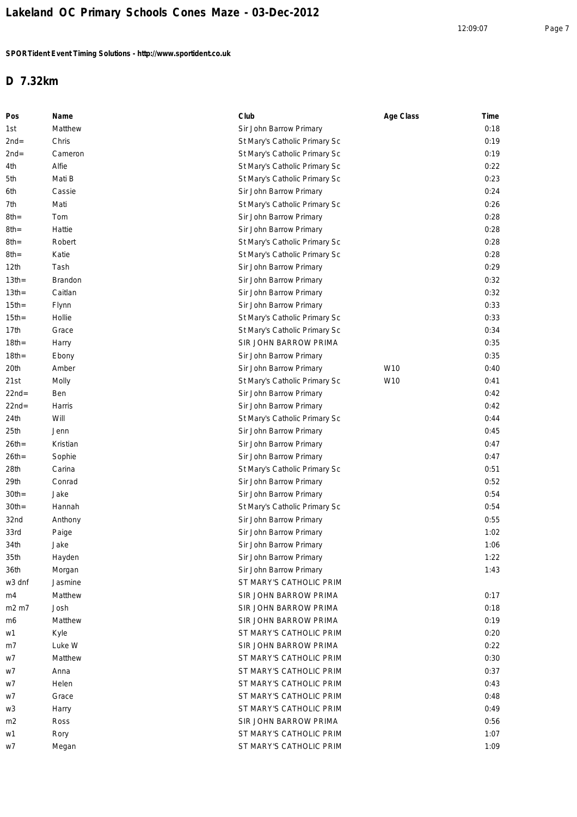## **D 7.32km**

| Pos      | Name     | Club                          | Age Class | Time |
|----------|----------|-------------------------------|-----------|------|
| 1st      | Matthew  | Sir John Barrow Primary       |           | 0:18 |
| $2nd=$   | Chris    | St Mary's Catholic Primary Sc |           | 0:19 |
| $2nd=$   | Cameron  | St Mary's Catholic Primary Sc |           | 0:19 |
| 4th      | Alfie    | St Mary's Catholic Primary Sc |           | 0:22 |
| 5th      | Mati B   | St Mary's Catholic Primary Sc |           | 0:23 |
| 6th      | Cassie   | Sir John Barrow Primary       |           | 0:24 |
| 7th      | Mati     | St Mary's Catholic Primary Sc |           | 0:26 |
| $8th =$  | Tom      | Sir John Barrow Primary       |           | 0:28 |
| $8th =$  | Hattie   | Sir John Barrow Primary       |           | 0:28 |
| 8th=     | Robert   | St Mary's Catholic Primary Sc |           | 0:28 |
| 8th=     | Katie    | St Mary's Catholic Primary Sc |           | 0:28 |
| 12th     | Tash     | Sir John Barrow Primary       |           | 0:29 |
| $13th =$ | Brandon  | Sir John Barrow Primary       |           | 0:32 |
| $13th =$ | Caitlan  | Sir John Barrow Primary       |           | 0:32 |
| $15th =$ | Flynn    | Sir John Barrow Primary       |           | 0:33 |
| $15th =$ | Hollie   | St Mary's Catholic Primary Sc |           | 0:33 |
| 17th     | Grace    | St Mary's Catholic Primary Sc |           | 0:34 |
| $18th =$ | Harry    | SIR JOHN BARROW PRIMA         |           | 0:35 |
| $18th =$ | Ebony    | Sir John Barrow Primary       |           | 0:35 |
| 20th     | Amber    | Sir John Barrow Primary       | W10       | 0:40 |
| 21st     | Molly    | St Mary's Catholic Primary Sc | W10       | 0:41 |
| $22nd=$  | Ben      | Sir John Barrow Primary       |           | 0:42 |
| $22nd=$  | Harris   | Sir John Barrow Primary       |           | 0:42 |
| 24th     | Will     | St Mary's Catholic Primary Sc |           | 0:44 |
| 25th     | Jenn     | Sir John Barrow Primary       |           | 0:45 |
| $26th =$ | Kristian | Sir John Barrow Primary       |           | 0:47 |
| $26th =$ | Sophie   | Sir John Barrow Primary       |           | 0:47 |
| 28th     | Carina   | St Mary's Catholic Primary Sc |           | 0:51 |
| 29th     | Conrad   | Sir John Barrow Primary       |           | 0:52 |
| $30th =$ | Jake     | Sir John Barrow Primary       |           | 0:54 |
| $30th =$ | Hannah   | St Mary's Catholic Primary Sc |           | 0:54 |
| 32nd     | Anthony  | Sir John Barrow Primary       |           | 0:55 |
| 33rd     | Paige    | Sir John Barrow Primary       |           | 1:02 |
| 34th     | Jake     | Sir John Barrow Primary       |           | 1:06 |
| 35th     | Hayden   | Sir John Barrow Primary       |           | 1:22 |
| 36th     | Morgan   | Sir John Barrow Primary       |           | 1:43 |
| w3 dnf   | Jasmine  | ST MARY'S CATHOLIC PRIM       |           |      |
| m4       | Matthew  | SIR JOHN BARROW PRIMA         |           | 0:17 |
| m2 m7    | Josh     | SIR JOHN BARROW PRIMA         |           | 0:18 |
| m6       | Matthew  | SIR JOHN BARROW PRIMA         |           | 0:19 |
| w1       | Kyle     | ST MARY'S CATHOLIC PRIM       |           | 0:20 |
| m7       | Luke W   | SIR JOHN BARROW PRIMA         |           | 0:22 |
| w7       | Matthew  | ST MARY'S CATHOLIC PRIM       |           | 0:30 |
| w7       | Anna     | ST MARY'S CATHOLIC PRIM       |           | 0:37 |
| w7       | Helen    | ST MARY'S CATHOLIC PRIM       |           | 0:43 |
| w7       | Grace    | ST MARY'S CATHOLIC PRIM       |           | 0:48 |
| w3       | Harry    | ST MARY'S CATHOLIC PRIM       |           | 0:49 |
| m2       | Ross     | SIR JOHN BARROW PRIMA         |           | 0:56 |
| w1       | Rory     | ST MARY'S CATHOLIC PRIM       |           | 1:07 |
| w7       | Megan    | ST MARY'S CATHOLIC PRIM       |           | 1:09 |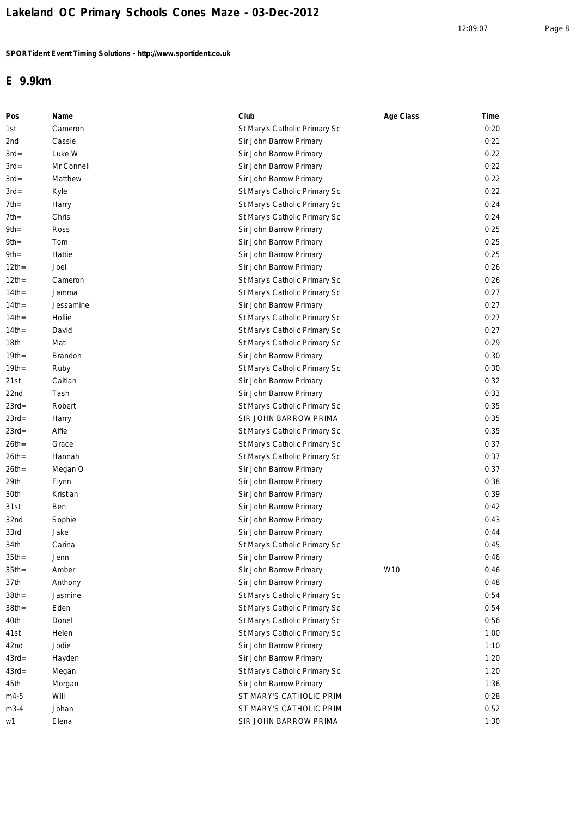#### **E 9.9km**

| Pos      | Name       | Club                          | Age Class | Time |
|----------|------------|-------------------------------|-----------|------|
| 1st      | Cameron    | St Mary's Catholic Primary Sc |           | 0:20 |
| 2nd      | Cassie     | Sir John Barrow Primary       |           | 0:21 |
| $3rd=$   | Luke W     | Sir John Barrow Primary       |           | 0:22 |
| $3rd=$   | Mr Connell | Sir John Barrow Primary       |           | 0:22 |
| $3rd=$   | Matthew    | Sir John Barrow Primary       |           | 0:22 |
| $3rd=$   | Kyle       | St Mary's Catholic Primary Sc |           | 0:22 |
| $7th=$   | Harry      | St Mary's Catholic Primary Sc |           | 0:24 |
| $7th=$   | Chris      | St Mary's Catholic Primary Sc |           | 0:24 |
| $9th=$   | Ross       | Sir John Barrow Primary       |           | 0:25 |
| 9th=     | Tom        | Sir John Barrow Primary       |           | 0:25 |
| $9th=$   | Hattie     | Sir John Barrow Primary       |           | 0:25 |
| $12$ th= | Joel       | Sir John Barrow Primary       |           | 0:26 |
| $12$ th= | Cameron    | St Mary's Catholic Primary Sc |           | 0:26 |
| $14$ th= | Jemma      | St Mary's Catholic Primary Sc |           | 0:27 |
| $14th =$ | Jessamine  | Sir John Barrow Primary       |           | 0:27 |
| $14th =$ | Hollie     | St Mary's Catholic Primary Sc |           | 0:27 |
| $14th =$ | David      | St Mary's Catholic Primary Sc |           | 0:27 |
| 18th     | Mati       | St Mary's Catholic Primary Sc |           | 0:29 |
| $19th =$ | Brandon    | Sir John Barrow Primary       |           | 0:30 |
| $19th =$ | Ruby       | St Mary's Catholic Primary Sc |           | 0:30 |
| 21st     | Caitlan    | Sir John Barrow Primary       |           | 0:32 |
| 22nd     | Tash       | Sir John Barrow Primary       |           | 0:33 |
| $23rd=$  | Robert     | St Mary's Catholic Primary Sc |           | 0:35 |
| $23rd=$  | Harry      | SIR JOHN BARROW PRIMA         |           | 0:35 |
| $23rd=$  | Alfie      | St Mary's Catholic Primary Sc |           | 0:35 |
| $26th =$ | Grace      | St Mary's Catholic Primary Sc |           | 0:37 |
| $26th =$ | Hannah     | St Mary's Catholic Primary Sc |           | 0:37 |
| $26th =$ | Megan O    | Sir John Barrow Primary       |           | 0:37 |
| 29th     | Flynn      | Sir John Barrow Primary       |           | 0:38 |
| 30th     | Kristian   | Sir John Barrow Primary       |           | 0:39 |
| 31st     | Ben        | Sir John Barrow Primary       |           | 0:42 |
| 32nd     | Sophie     | Sir John Barrow Primary       |           | 0:43 |
| 33rd     | Jake       | Sir John Barrow Primary       |           | 0:44 |
| 34th     | Carina     | St Mary's Catholic Primary Sc |           | 0:45 |
| $35th =$ | Jenn       | Sir John Barrow Primary       |           | 0:46 |
| $35th =$ | Amber      | Sir John Barrow Primary       | W10       | 0:46 |
| 37th     | Anthony    | Sir John Barrow Primary       |           | 0:48 |
| $38th =$ | Jasmine    | St Mary's Catholic Primary Sc |           | 0:54 |
| $38th =$ | Eden       | St Mary's Catholic Primary Sc |           | 0:54 |
| 40th     | Donel      | St Mary's Catholic Primary Sc |           | 0:56 |
| 41st     | Helen      | St Mary's Catholic Primary Sc |           | 1:00 |
| 42nd     | Jodie      | Sir John Barrow Primary       |           | 1:10 |
| $43rd=$  | Hayden     | Sir John Barrow Primary       |           | 1:20 |
| $43rd =$ | Megan      | St Mary's Catholic Primary Sc |           | 1:20 |
| 45th     | Morgan     | Sir John Barrow Primary       |           | 1:36 |
| m4-5     | Will       | ST MARY'S CATHOLIC PRIM       |           | 0:28 |
| $m3-4$   | Johan      | ST MARY'S CATHOLIC PRIM       |           | 0:52 |
| w1       | Elena      | SIR JOHN BARROW PRIMA         |           | 1:30 |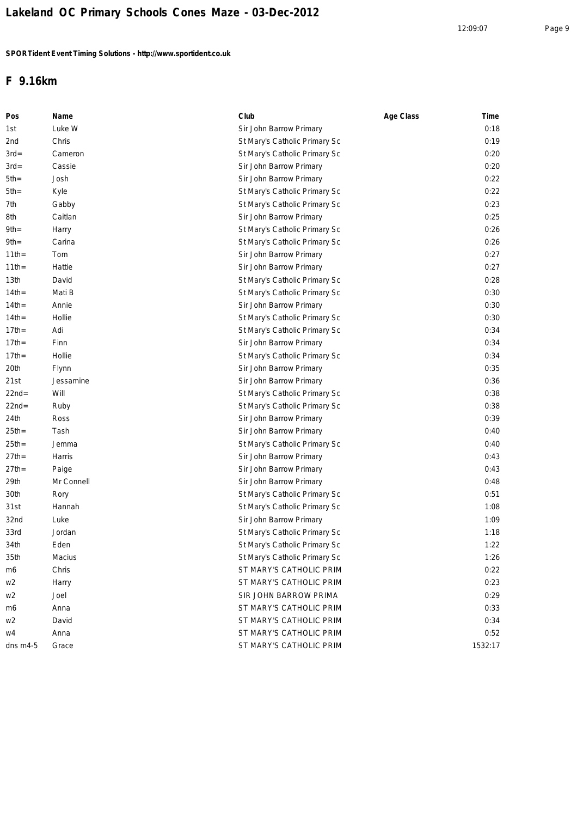### **F 9.16km**

| Pos              | Name       | Club                          | Age Class | Time    |
|------------------|------------|-------------------------------|-----------|---------|
| 1st              | Luke W     | Sir John Barrow Primary       |           | 0:18    |
| 2nd              | Chris      | St Mary's Catholic Primary Sc |           | 0:19    |
| $3rd=$           | Cameron    | St Mary's Catholic Primary Sc |           | 0:20    |
| $3rd=$           | Cassie     | Sir John Barrow Primary       |           | 0:20    |
| $5th=$           | Josh       | Sir John Barrow Primary       |           | 0:22    |
| 5th=             | Kyle       | St Mary's Catholic Primary Sc |           | 0:22    |
| 7th              | Gabby      | St Mary's Catholic Primary Sc |           | 0:23    |
| 8th              | Caitlan    | Sir John Barrow Primary       |           | 0:25    |
| 9th=             | Harry      | St Mary's Catholic Primary Sc |           | 0:26    |
| 9th=             | Carina     | St Mary's Catholic Primary Sc |           | 0:26    |
| $11$ th=         | Tom        | Sir John Barrow Primary       |           | 0:27    |
| $11$ th=         | Hattie     | Sir John Barrow Primary       |           | 0:27    |
| 13 <sub>th</sub> | David      | St Mary's Catholic Primary Sc |           | 0:28    |
| $14th =$         | Mati B     | St Mary's Catholic Primary Sc |           | 0:30    |
| $14th =$         | Annie      | Sir John Barrow Primary       |           | 0:30    |
| $14th =$         | Hollie     | St Mary's Catholic Primary Sc |           | 0:30    |
| $17th =$         | Adi        | St Mary's Catholic Primary Sc |           | 0:34    |
| $17th =$         | Finn       | Sir John Barrow Primary       |           | 0:34    |
| $17th =$         | Hollie     | St Mary's Catholic Primary Sc |           | 0:34    |
| 20th             | Flynn      | Sir John Barrow Primary       |           | 0:35    |
| 21st             | Jessamine  | Sir John Barrow Primary       |           | 0:36    |
| 22nd=            | Will       | St Mary's Catholic Primary Sc |           | 0:38    |
| $22nd=$          | Ruby       | St Mary's Catholic Primary Sc |           | 0:38    |
| 24th             | Ross       | Sir John Barrow Primary       |           | 0:39    |
| 25th=            | Tash       | Sir John Barrow Primary       |           | 0:40    |
| $25th =$         | Jemma      | St Mary's Catholic Primary Sc |           | 0:40    |
| $27th =$         | Harris     | Sir John Barrow Primary       |           | 0:43    |
| 27th=            | Paige      | Sir John Barrow Primary       |           | 0:43    |
| 29th             | Mr Connell | Sir John Barrow Primary       |           | 0:48    |
| 30th             | Rory       | St Mary's Catholic Primary Sc |           | 0:51    |
| 31st             | Hannah     | St Mary's Catholic Primary Sc |           | 1:08    |
| 32nd             | Luke       | Sir John Barrow Primary       |           | 1:09    |
| 33rd             | Jordan     | St Mary's Catholic Primary Sc |           | 1:18    |
| 34th             | Eden       | St Mary's Catholic Primary Sc |           | 1:22    |
| 35th             | Macius     | St Mary's Catholic Primary Sc |           | 1:26    |
| m6               | Chris      | ST MARY'S CATHOLIC PRIM       |           | 0:22    |
| w2               | Harry      | ST MARY'S CATHOLIC PRIM       |           | 0:23    |
| w2               | Joel       | SIR JOHN BARROW PRIMA         |           | 0:29    |
| m6               | Anna       | ST MARY'S CATHOLIC PRIM       |           | 0:33    |
| w2               | David      | ST MARY'S CATHOLIC PRIM       |           | 0:34    |
| w4               | Anna       | ST MARY'S CATHOLIC PRIM       |           | 0:52    |
| dns $m4-5$       | Grace      | ST MARY'S CATHOLIC PRIM       |           | 1532:17 |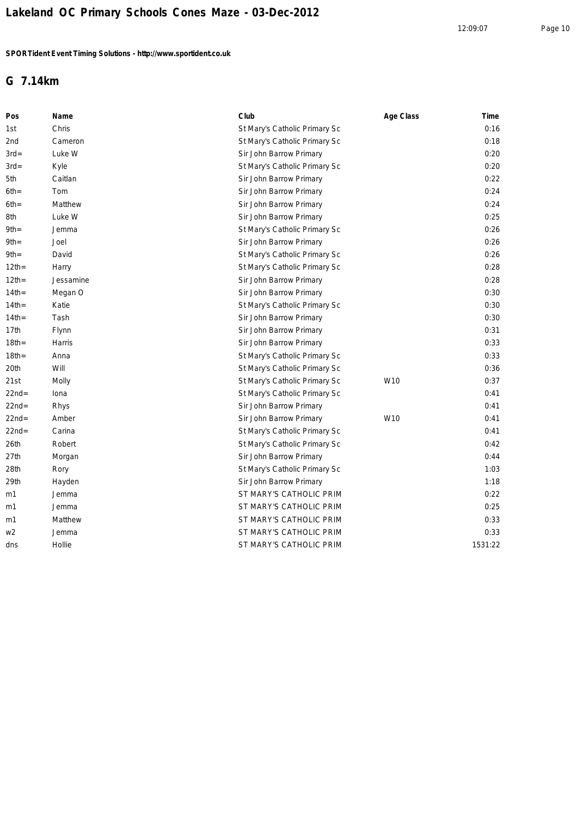### **G 7.14km**

| Pos      | Name      | Club                          | Age Class | Time    |
|----------|-----------|-------------------------------|-----------|---------|
| 1st      | Chris     | St Mary's Catholic Primary Sc |           | 0:16    |
| 2nd      | Cameron   | St Mary's Catholic Primary Sc |           | 0:18    |
| $3rd=$   | Luke W    | Sir John Barrow Primary       |           | 0:20    |
| $3rd=$   | Kyle      | St Mary's Catholic Primary Sc |           | 0:20    |
| 5th      | Caitlan   | Sir John Barrow Primary       |           | 0:22    |
| 6th=     | Tom       | Sir John Barrow Primary       |           | 0:24    |
| 6th=     | Matthew   | Sir John Barrow Primary       |           | 0:24    |
| 8th      | Luke W    | Sir John Barrow Primary       |           | 0:25    |
| 9th=     | Jemma     | St Mary's Catholic Primary Sc |           | 0:26    |
| 9th=     | Joel      | Sir John Barrow Primary       |           | 0:26    |
| 9th=     | David     | St Mary's Catholic Primary Sc |           | 0:26    |
| $12$ th= | Harry     | St Mary's Catholic Primary Sc |           | 0:28    |
| $12$ th= | Jessamine | Sir John Barrow Primary       |           | 0:28    |
| $14th =$ | Megan O   | Sir John Barrow Primary       |           | 0:30    |
| $14th =$ | Katie     | St Mary's Catholic Primary Sc |           | 0:30    |
| $14th =$ | Tash      | Sir John Barrow Primary       |           | 0:30    |
| 17th     | Flynn     | Sir John Barrow Primary       |           | 0:31    |
| $18th =$ | Harris    | Sir John Barrow Primary       |           | 0:33    |
| $18th =$ | Anna      | St Mary's Catholic Primary Sc |           | 0:33    |
| 20th     | Will      | St Mary's Catholic Primary Sc |           | 0:36    |
| 21st     | Molly     | St Mary's Catholic Primary Sc | W10       | 0:37    |
| 22nd=    | Iona      | St Mary's Catholic Primary Sc |           | 0:41    |
| $22nd=$  | Rhys      | Sir John Barrow Primary       |           | 0:41    |
| $22nd=$  | Amber     | Sir John Barrow Primary       | W10       | 0:41    |
| 22nd=    | Carina    | St Mary's Catholic Primary Sc |           | 0:41    |
| 26th     | Robert    | St Mary's Catholic Primary Sc |           | 0:42    |
| 27th     | Morgan    | Sir John Barrow Primary       |           | 0:44    |
| 28th     | Rory      | St Mary's Catholic Primary Sc |           | 1:03    |
| 29th     | Hayden    | Sir John Barrow Primary       |           | 1:18    |
| m1       | Jemma     | ST MARY'S CATHOLIC PRIM       |           | 0:22    |
| m1       | Jemma     | ST MARY'S CATHOLIC PRIM       |           | 0:25    |
| m1       | Matthew   | ST MARY'S CATHOLIC PRIM       |           | 0:33    |
| w2       | Jemma     | ST MARY'S CATHOLIC PRIM       |           | 0:33    |
| dns      | Hollie    | ST MARY'S CATHOLIC PRIM       |           | 1531:22 |
|          |           |                               |           |         |